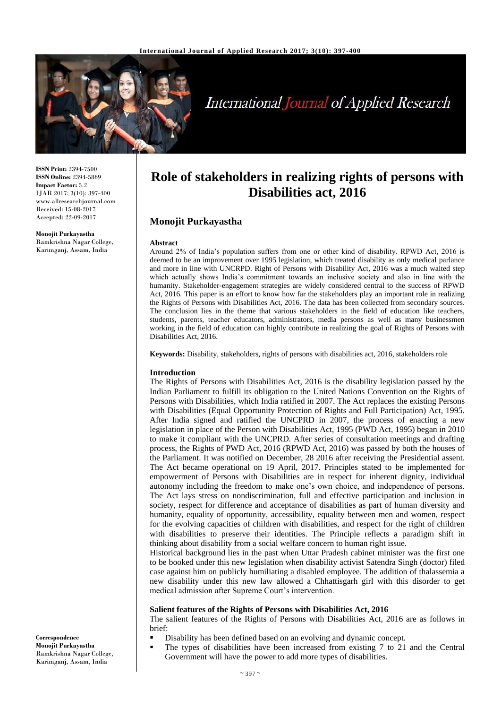

# **International Journal of Applied Research**

**ISSN Print:** 2394-7500 **ISSN Online:** 2394-5869 **Impact Factor:** 5.2 IJAR 2017; 3(10): 397-400 www.allresearchjournal.com Received: 15-08-2017 Accepted: 22-09-2017

**Monojit Purkayastha** Ramkrishna Nagar College, Karimganj, Assam, India

# **Role of stakeholders in realizing rights of persons with Disabilities act, 2016**

# **Monojit Purkayastha**

#### **Abstract**

Around 2% of India's population suffers from one or other kind of disability. RPWD Act, 2016 is deemed to be an improvement over 1995 legislation, which treated disability as only medical parlance and more in line with UNCRPD. Right of Persons with Disability Act, 2016 was a much waited step which actually shows India's commitment towards an inclusive society and also in line with the humanity. Stakeholder-engagement strategies are widely considered central to the success of RPWD Act, 2016. This paper is an effort to know how far the stakeholders play an important role in realizing the Rights of Persons with Disabilities Act, 2016. The data has been collected from secondary sources. The conclusion lies in the theme that various stakeholders in the field of education like teachers, students, parents, teacher educators, administrators, media persons as well as many businessmen working in the field of education can highly contribute in realizing the goal of Rights of Persons with Disabilities Act, 2016.

**Keywords:** Disability, stakeholders, rights of persons with disabilities act, 2016, stakeholders role

#### **Introduction**

The Rights of Persons with Disabilities Act, 2016 is the disability legislation passed by the Indian Parliament to fulfill its obligation to the United Nations Convention on the Rights of Persons with Disabilities, which India ratified in 2007. The Act replaces the existing Persons with Disabilities (Equal Opportunity Protection of Rights and Full Participation) Act, 1995. After India signed and ratified the UNCPRD in 2007, the process of enacting a new legislation in place of the Person with Disabilities Act, 1995 (PWD Act, 1995) began in 2010 to make it compliant with the UNCPRD. After series of consultation meetings and drafting process, the Rights of PWD Act, 2016 (RPWD Act, 2016) was passed by both the houses of the Parliament. It was notified on December, 28 2016 after receiving the Presidential assent. The Act became operational on 19 April, 2017. Principles stated to be implemented for empowerment of Persons with Disabilities are in respect for inherent dignity, individual autonomy including the freedom to make one's own choice, and independence of persons. The Act lays stress on nondiscrimination, full and effective participation and inclusion in society, respect for difference and acceptance of disabilities as part of human diversity and humanity, equality of opportunity, accessibility, equality between men and women, respect for the evolving capacities of children with disabilities, and respect for the right of children with disabilities to preserve their identities. The Principle reflects a paradigm shift in thinking about disability from a social welfare concern to human right issue.

Historical background lies in the past when Uttar Pradesh cabinet minister was the first one to be booked under this new legislation when disability activist Satendra Singh (doctor) filed case against him on publicly humiliating a disabled employee. The addition of thalassemia a new disability under this new law allowed a Chhattisgarh girl with this disorder to get medical admission after Supreme Court's intervention.

#### **Salient features of the Rights of Persons with Disabilities Act, 2016**

The salient features of the Rights of Persons with Disabilities Act, 2016 are as follows in brief:

- Disability has been defined based on an evolving and dynamic concept.
- The types of disabilities have been increased from existing 7 to 21 and the Central Government will have the power to add more types of disabilities.

**Correspondence Monojit Purkayastha** Ramkrishna Nagar College, Karimganj, Assam, India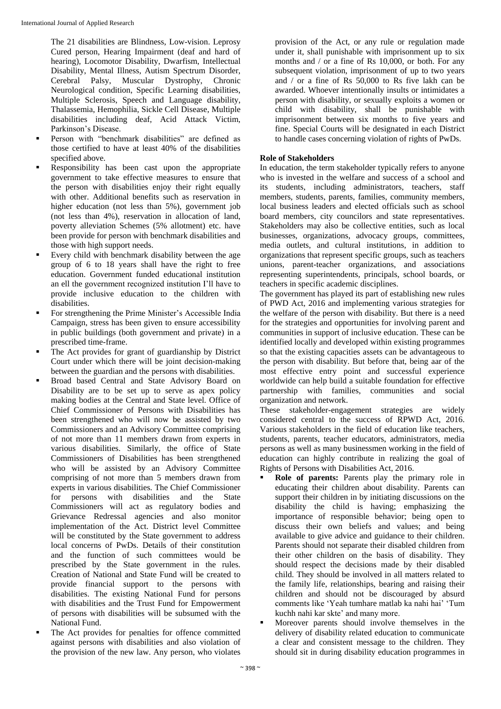The 21 disabilities are Blindness, Low-vision. Leprosy Cured person, Hearing Impairment (deaf and hard of hearing), Locomotor Disability, Dwarfism, Intellectual Disability, Mental Illness, Autism Spectrum Disorder, Cerebral Palsy, Muscular Dystrophy, Chronic Neurological condition, Specific Learning disabilities, Multiple Sclerosis, Speech and Language disability, Thalassemia, Hemophilia, Sickle Cell Disease, Multiple disabilities including deaf, Acid Attack Victim, Parkinson's Disease.

- Person with "benchmark disabilities" are defined as those certified to have at least 40% of the disabilities specified above.
- Responsibility has been cast upon the appropriate government to take effective measures to ensure that the person with disabilities enjoy their right equally with other. Additional benefits such as reservation in higher education (not less than 5%), government job (not less than 4%), reservation in allocation of land, poverty alleviation Schemes (5% allotment) etc. have been provide for person with benchmark disabilities and those with high support needs.
- Every child with benchmark disability between the age group of 6 to 18 years shall have the right to free education. Government funded educational institution an ell the government recognized institution I'll have to provide inclusive education to the children with disabilities.
- For strengthening the Prime Minister's Accessible India Campaign, stress has been given to ensure accessibility in public buildings (both government and private) in a prescribed time-frame.
- The Act provides for grant of guardianship by District Court under which there will be joint decision-making between the guardian and the persons with disabilities.
- Broad based Central and State Advisory Board on Disability are to be set up to serve as apex policy making bodies at the Central and State level. Office of Chief Commissioner of Persons with Disabilities has been strengthened who will now be assisted by two Commissioners and an Advisory Committee comprising of not more than 11 members drawn from experts in various disabilities. Similarly, the office of State Commissioners of Disabilities has been strengthened who will be assisted by an Advisory Committee comprising of not more than 5 members drawn from experts in various disabilities. The Chief Commissioner for persons with disabilities and the State Commissioners will act as regulatory bodies and Grievance Redressal agencies and also monitor implementation of the Act. District level Committee will be constituted by the State government to address local concerns of PwDs. Details of their constitution and the function of such committees would be prescribed by the State government in the rules. Creation of National and State Fund will be created to provide financial support to the persons with disabilities. The existing National Fund for persons with disabilities and the Trust Fund for Empowerment of persons with disabilities will be subsumed with the National Fund.
- The Act provides for penalties for offence committed against persons with disabilities and also violation of the provision of the new law. Any person, who violates

provision of the Act, or any rule or regulation made under it, shall punishable with imprisonment up to six months and / or a fine of Rs 10,000, or both. For any subsequent violation, imprisonment of up to two years and / or a fine of Rs 50,000 to Rs five lakh can be awarded. Whoever intentionally insults or intimidates a person with disability, or sexually exploits a women or child with disability, shall be punishable with imprisonment between six months to five years and fine. Special Courts will be designated in each District to handle cases concerning violation of rights of PwDs.

# **Role of Stakeholders**

In education, the term stakeholder typically refers to anyone who is invested in the welfare and success of a school and its students, including administrators, teachers, staff members, students, parents, families, community members, local business leaders and elected officials such as school board members, city councilors and state representatives. Stakeholders may also be collective entities, such as local businesses, organizations, advocacy groups, committees, media outlets, and cultural institutions, in addition to organizations that represent specific groups, such as teachers unions, parent-teacher organizations, and associations representing superintendents, principals, school boards, or teachers in specific academic disciplines.

The government has played its part of establishing new rules of PWD Act, 2016 and implementing various strategies for the welfare of the person with disability. But there is a need for the strategies and opportunities for involving parent and communities in support of inclusive education. These can be identified locally and developed within existing programmes so that the existing capacities assets can be advantageous to the person with disability. But before that, being aar of the most effective entry point and successful experience worldwide can help build a suitable foundation for effective partnership with families, communities and social organization and network.

These stakeholder-engagement strategies are widely considered central to the success of RPWD Act, 2016. Various stakeholders in the field of education like teachers, students, parents, teacher educators, administrators, media persons as well as many businessmen working in the field of education can highly contribute in realizing the goal of Rights of Persons with Disabilities Act, 2016.

- **Role of parents:** Parents play the primary role in educating their children about disability. Parents can support their children in by initiating discussions on the disability the child is having; emphasizing the importance of responsible behavior; being open to discuss their own beliefs and values; and being available to give advice and guidance to their children. Parents should not separate their disabled children from their other children on the basis of disability. They should respect the decisions made by their disabled child. They should be involved in all matters related to the family life, relationships, bearing and raising their children and should not be discouraged by absurd comments like 'Yeah tumhare matlab ka nahi hai' 'Tum kuchh nahi kar skte' and many more.
- Moreover parents should involve themselves in the delivery of disability related education to communicate a clear and consistent message to the children. They should sit in during disability education programmes in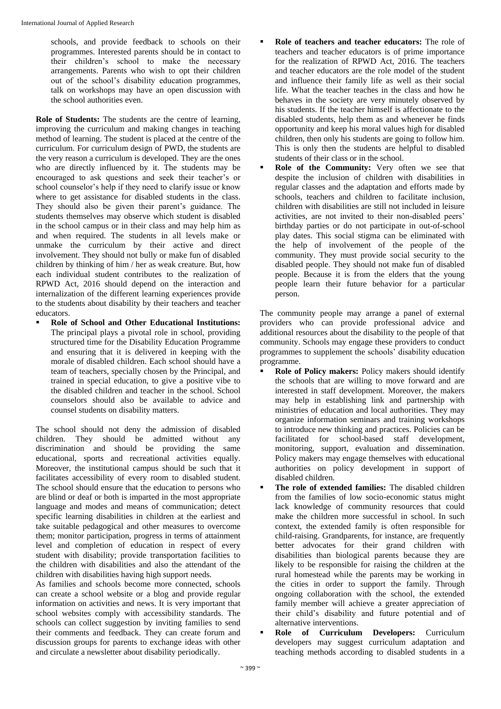schools, and provide feedback to schools on their programmes. Interested parents should be in contact to their children's school to make the necessary arrangements. Parents who wish to opt their children out of the school's disability education programmes, talk on workshops may have an open discussion with the school authorities even.

**Role of Students:** The students are the centre of learning, improving the curriculum and making changes in teaching method of learning. The student is placed at the centre of the curriculum. For curriculum design of PWD, the students are the very reason a curriculum is developed. They are the ones who are directly influenced by it. The students may be encouraged to ask questions and seek their teacher's or school counselor's help if they need to clarify issue or know where to get assistance for disabled students in the class. They should also be given their parent's guidance. The students themselves may observe which student is disabled in the school campus or in their class and may help him as and when required. The students in all levels make or unmake the curriculum by their active and direct involvement. They should not bully or make fun of disabled children by thinking of him / her as weak creature. But, how each individual student contributes to the realization of RPWD Act, 2016 should depend on the interaction and internalization of the different learning experiences provide to the students about disability by their teachers and teacher educators.

 **Role of School and Other Educational Institutions:**  The principal plays a pivotal role in school, providing structured time for the Disability Education Programme and ensuring that it is delivered in keeping with the morale of disabled children. Each school should have a team of teachers, specially chosen by the Principal, and trained in special education, to give a positive vibe to the disabled children and teacher in the school. School counselors should also be available to advice and counsel students on disability matters.

The school should not deny the admission of disabled children. They should be admitted without any discrimination and should be providing the same educational, sports and recreational activities equally. Moreover, the institutional campus should be such that it facilitates accessibility of every room to disabled student. The school should ensure that the education to persons who are blind or deaf or both is imparted in the most appropriate language and modes and means of communication; detect specific learning disabilities in children at the earliest and take suitable pedagogical and other measures to overcome them; monitor participation, progress in terms of attainment level and completion of education in respect of every student with disability; provide transportation facilities to the children with disabilities and also the attendant of the children with disabilities having high support needs.

As families and schools become more connected, schools can create a school website or a blog and provide regular information on activities and news. It is very important that school websites comply with accessibility standards. The schools can collect suggestion by inviting families to send their comments and feedback. They can create forum and discussion groups for parents to exchange ideas with other and circulate a newsletter about disability periodically.

- **Role of teachers and teacher educators:** The role of teachers and teacher educators is of prime importance for the realization of RPWD Act, 2016. The teachers and teacher educators are the role model of the student and influence their family life as well as their social life. What the teacher teaches in the class and how he behaves in the society are very minutely observed by his students. If the teacher himself is affectionate to the disabled students, help them as and whenever he finds opportunity and keep his moral values high for disabled children, then only his students are going to follow him. This is only then the students are helpful to disabled students of their class or in the school.
- **Role of the Community:** Very often we see that despite the inclusion of children with disabilities in regular classes and the adaptation and efforts made by schools, teachers and children to facilitate inclusion, children with disabilities are still not included in leisure activities, are not invited to their non-disabled peers' birthday parties or do not participate in out-of-school play dates. This social stigma can be eliminated with the help of involvement of the people of the community. They must provide social security to the disabled people. They should not make fun of disabled people. Because it is from the elders that the young people learn their future behavior for a particular person.

The community people may arrange a panel of external providers who can provide professional advice and additional resources about the disability to the people of that community. Schools may engage these providers to conduct programmes to supplement the schools' disability education programme.

- **Role of Policy makers:** Policy makers should identify the schools that are willing to move forward and are interested in staff development. Moreover, the makers may help in establishing link and partnership with ministries of education and local authorities. They may organize information seminars and training workshops to introduce new thinking and practices. Policies can be facilitated for school-based staff development, monitoring, support, evaluation and dissemination. Policy makers may engage themselves with educational authorities on policy development in support of disabled children.
- **The role of extended families:** The disabled children from the families of low socio-economic status might lack knowledge of community resources that could make the children more successful in school. In such context, the extended family is often responsible for child-raising. Grandparents, for instance, are frequently better advocates for their grand children with disabilities than biological parents because they are likely to be responsible for raising the children at the rural homestead while the parents may be working in the cities in order to support the family. Through ongoing collaboration with the school, the extended family member will achieve a greater appreciation of their child's disability and future potential and of alternative interventions.
- **Role of Curriculum Developers:** Curriculum developers may suggest curriculum adaptation and teaching methods according to disabled students in a